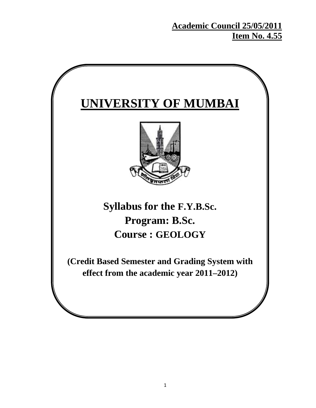# **Academic Council 25/05/2011 Item No. 4.55**

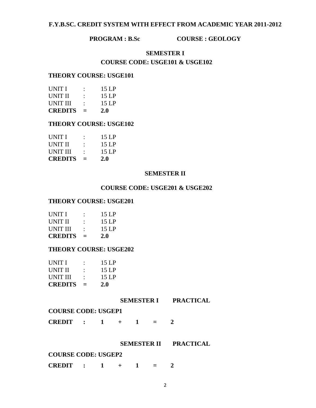### **F.Y.B.SC. CREDIT SYSTEM WITH EFFECT FROM ACADEMIC YEAR 2011-2012**

#### **PROGRAM : B.Sc COURSE : GEOLOGY**

## **SEMESTER I COURSE CODE: USGE101 & USGE102**

#### **THEORY COURSE: USGE101**

| UNIT I          |     | 15 LP      |
|-----------------|-----|------------|
| UNIT II         |     | 15 LP      |
| <b>UNIT III</b> |     | 15 LP      |
| <b>CREDITS</b>  | $=$ | <b>2.0</b> |

#### **THEORY COURSE: USGE102**

| UNIT I          |   | 15LP       |
|-----------------|---|------------|
| UNIT II         |   | 15 LP      |
| <b>UNIT III</b> |   | 15 LP      |
| <b>CREDITS</b>  | ⋍ | <b>2.0</b> |

#### **SEMESTER II**

#### **COURSE CODE: USGE201 & USGE202**

#### **THEORY COURSE: USGE201**

| UNIT I         |   | 15LP  |
|----------------|---|-------|
| UNIT II        |   | 15LP  |
| UNIT III       |   | 15 LP |
| <b>CREDITS</b> | = | 2.0   |

#### **THEORY COURSE: USGE202**

| UNIT I          |   | 15 LP      |
|-----------------|---|------------|
| UNIT II         |   | 15 LP      |
| <b>UNIT III</b> |   | 15 LP      |
| <b>CREDITS</b>  | ⋍ | <b>2.0</b> |

#### **SEMESTER I PRACTICAL**

#### **COURSE CODE: USGEP1**

**CREDIT** :  $1 + 1 = 2$ 

#### **SEMESTER II PRACTICAL**

#### **COURSE CODE: USGEP2**

**CREDIT : 1 + 1 = 2**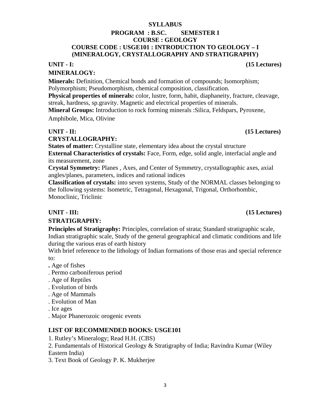### **SYLLABUS**

### **PROGRAM : B.SC. SEMESTER I COURSE : GEOLOGY COURSE CODE : USGE101 : INTRODUCTION TO GEOLOGY – I (MINERALOGY, CRYSTALLOGRAPHY AND STRATIGRAPHY)**

### **MINERALOGY:**

**Minerals:** Definition, Chemical bonds and formation of compounds; Isomorphism; Polymorphism; Pseudomorphism, chemical composition, classification.

**Physical properties of minerals:** color, lustre, form, habit, diaphaneity, fracture, cleavage, streak, hardness, sp.gravity. Magnetic and electrical properties of minerals.

**Mineral Groups:** Introduction to rock forming minerals :Silica, Feldspars, Pyroxene,

Amphibole, Mica, Olivine

## **CRYSTALLOGRAPHY:**

**States of matter:** Crystalline state, elementary idea about the crystal structure **External Characteristics of crystals:** Face, Form, edge, solid angle, interfacial angle and its measurement, zone

**Crystal Symmetry:** Planes , Axes, and Center of Symmetry, crystallographic axes, axial angles/planes, parameters, indices and rational indices

**Classification of crystals:** into seven systems, Study of the NORMAL classes belonging to the following systems: Isometric, Tetragonal, Hexagonal, Trigonal, Orthorhombic, Monoclinic, Triclinic

## **STRATIGRAPHY:**

**Principles of Stratigraphy:** Principles, correlation of strata; Standard stratigraphic scale, Indian stratigraphic scale, Study of the general geographical and climatic conditions and life during the various eras of earth history

With brief reference to the lithology of Indian formations of those eras and special reference to:

- **.** Age of fishes
- . Permo carboniferous period
- . Age of Reptiles
- . Evolution of birds
- . Age of Mammals
- . Evolution of Man
- . Ice ages
- . Major Phanerozoic orogenic events

### **LIST OF RECOMMENDED BOOKS: USGE101**

1. Rutley's Mineralogy; Read H.H. (CBS)

2. Fundamentals of Historical Geology & Stratigraphy of India; Ravindra Kumar (Wiley Eastern India)

3. Text Book of Geology P. K. Mukherjee

3

## **UNIT - I: (15 Lectures)**

## **UNIT - III:** (15 Lectures)

# **UNIT - II:** (15 Lectures)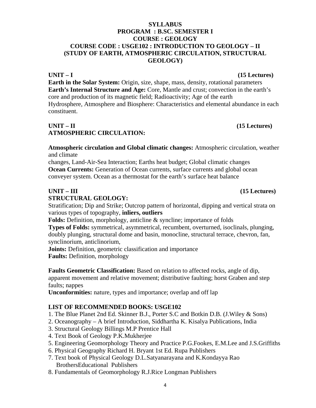## **SYLLABUS PROGRAM : B.SC. SEMESTER I COURSE : GEOLOGY COURSE CODE : USGE102 : INTRODUCTION TO GEOLOGY – II (STUDY OF EARTH, ATMOSPHERIC CIRCULATION, STRUCTURAL GEOLOGY)**

**Earth in the Solar System:** Origin, size, shape, mass, density, rotational parameters **Earth's Internal Structure and Age:** Core, Mantle and crust; convection in the earth's core and production of its magnetic field; Radioactivity; Age of the earth Hydrosphere, Atmosphere and Biosphere: Characteristics and elemental abundance in each constituent.

## $UNIT - II$  (15 Lectures) **ATMOSPHERIC CIRCULATION:**

**Atmospheric circulation and Global climatic changes:** Atmospheric circulation, weather and climate

changes, Land-Air-Sea Interaction; Earths heat budget; Global climatic changes **Ocean Currents:** Generation of Ocean currents, surface currents and global ocean conveyer system. Ocean as a thermostat for the earth's surface heat balance

## **UNIT – III (15 Lectures)**

## **STRUCTURAL GEOLOGY:**

Stratification; Dip and Strike; Outcrop pattern of horizontal, dipping and vertical strata on various types of topography, **inliers, outliers**

**Folds:** Definition, morphology, anticline & syncline; importance of folds

**Types of Folds:** symmetrical, asymmetrical, recumbent, overturned, isoclinals, plunging, doubly plunging, structural dome and basin, monocline, structural terrace, chevron, fan, synclinorium, anticlinorium,

**Joints:** Definition, geometric classification and importance

**Faults:** Definition, morphology

**Faults Geometric Classification:** Based on relation to affected rocks, angle of dip, apparent movement and relative movement; distributive faulting; horst Graben and step faults; nappes

**Unconformities:** nature, types and importance; overlap and off lap

## **LIST OF RECOMMENDED BOOKS: USGE102**

- 1. The Blue Planet 2nd Ed. Skinner B.J., Porter S.C and Botkin D.B. (J.Wiley & Sons)
- 2. Oceanography A brief Introduction, Siddhartha K. Kisalya Publications, India
- 3. Structural Geology Billings M.P Prentice Hall
- 4. Text Book of Geology P.K.Mukherjee
- 5. Engineering Geomorphology Theory and Practice P.G.Fookes, E.M.Lee and J.S.Griffiths
- 6. Physical Geography Richard H. Bryant 1st Ed. Rupa Publishers
- 7. Text book of Physical Geology D.L.Satyanarayana and K.Kondayya Rao BrothersEducational Publishers
- 8. Fundamentals of Geomorphology R.J.Rice Longman Publishers

## UNIT – I (15 Lectures)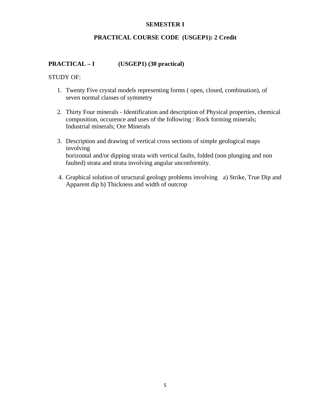#### **SEMESTER I**

## **PRACTICAL COURSE CODE (USGEP1): 2 Credit**

## **PRACTICAL – I (USGEP1) (30 practical)**

#### STUDY OF:

- 1. Twenty Five crystal models representing forms ( open, closed, combination), of seven normal classes of symmetry
- 2. Thirty Four minerals Identification and description of Physical properties, chemical composition, occurence and uses of the following : Rock forming minerals; Industrial minerals; Ore Minerals
- 3. Description and drawing of vertical cross sections of simple geological maps involving horizontal and/or dipping strata with vertical faults, folded (non plunging and non faulted) strata and strata involving angular unconformity.
- 4. Graphical solution of structural geology problems involving a) Strike, True Dip and Apparent dip b) Thickness and width of outcrop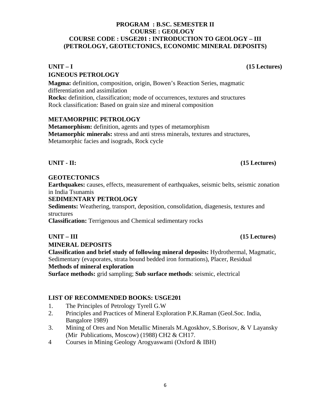### **PROGRAM : B.SC. SEMESTER II COURSE : GEOLOGY COURSE CODE : USGE201 : INTRODUCTION TO GEOLOGY – III (PETROLOGY, GEOTECTONICS, ECONOMIC MINERAL DEPOSITS)**

## UNIT – I (15 Lectures) **IGNEOUS PETROLOGY**

**Magma:** definition, composition, origin, Bowen's Reaction Series, magmatic differentiation and assimilation **Rocks:** definition, classification; mode of occurrences, textures and structures Rock classification: Based on grain size and mineral composition

### **METAMORPHIC PETROLOGY**

**Metamorphism:** definition, agents and types of metamorphism **Metamorphic minerals:** stress and anti stress minerals, textures and structures, Metamorphic facies and isograds, Rock cycle

### **GEOTECTONICS**

**Earthquakes:** causes, effects, measurement of earthquakes, seismic belts, seismic zonation in India Tsunamis

### **SEDIMENTARY PETROLOGY**

**Sediments:** Weathering, transport, deposition, consolidation, diagenesis, textures and structures

**Classification:** Terrigenous and Chemical sedimentary rocks

### **UNIT – III (15 Lectures)**

**MINERAL DEPOSITS** 

**Classification and brief study of following mineral deposits:** Hydrothermal, Magmatic, Sedimentary (evaporates, strata bound bedded iron formations), Placer, Residual **Methods of mineral exploration** 

**Surface methods:** grid sampling; **Sub surface methods**: seismic, electrical

#### **LIST OF RECOMMENDED BOOKS: USGE201**

- 1. The Principles of Petrology Tyrell G.W
- 2. Principles and Practices of Mineral Exploration P.K.Raman (Geol.Soc. India, Bangalore 1989)
- 3. Mining of Ores and Non Metallic Minerals M.Agoskhov, S.Borisov, & V Layansky (Mir Publications, Moscow) (1988) CH2 & CH17.
- 4 Courses in Mining Geology Arogyaswami (Oxford & IBH)

### **UNIT - II:** (15 Lectures)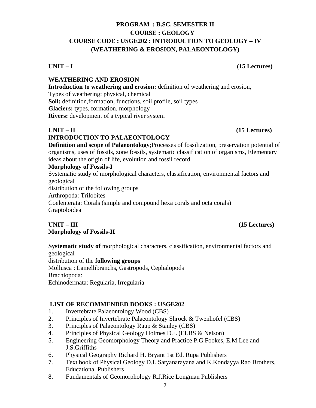## **PROGRAM : B.SC. SEMESTER II COURSE : GEOLOGY COURSE CODE : USGE202 : INTRODUCTION TO GEOLOGY – IV (WEATHERING & EROSION, PALAEONTOLOGY)**

## UNIT – I (15 Lectures)

## **WEATHERING AND EROSION**

**Introduction to weathering and erosion:** definition of weathering and erosion, Types of weathering: physical, chemical **Soil:** definition,formation, functions, soil profile, soil types **Glaciers:** types, formation, morphology **Rivers:** development of a typical river system

## $UNIT - II$  (15 Lectures)

## **INTRODUCTION TO PALAEONTOLOGY**

**Definition and scope of Palaeontology**;Processes of fossilization, preservation potential of organisms, uses of fossils, zone fossils, systematic classification of organisms, Elementary ideas about the origin of life, evolution and fossil record

### **Morphology of Fossils-I**

Systematic study of morphological characters, classification, environmental factors and geological distribution of the following groups Arthropoda: Trilobites Coelenterata: Corals (simple and compound hexa corals and octa corals) Graptoloidea

## **UNIT – III (15 Lectures) Morphology of Fossils-II**

**Systematic study of** morphological characters, classification, environmental factors and geological distribution of the **following groups** Mollusca : Lamellibranchs, Gastropods, Cephalopods Brachiopoda: Echinodermata: Regularia, Irregularia

 **LIST OF RECOMMENDED BOOKS : USGE202** 

- 1. Invertebrate Palaeontology Wood (CBS)
- 2. Principles of Invertebrate Palaeontology Shrock & Twenhofel (CBS)
- 3. Principles of Palaeontology Raup & Stanley (CBS)
- 4. Principles of Physical Geology Holmes D.L (ELBS & Nelson)
- 5. Engineering Geomorphology Theory and Practice P.G.Fookes, E.M.Lee and J.S.Griffiths
- 6. Physical Geography Richard H. Bryant 1st Ed. Rupa Publishers
- 7. Text book of Physical Geology D.L.Satyanarayana and K.Kondayya Rao Brothers, Educational Publishers
- 8. Fundamentals of Geomorphology R.J.Rice Longman Publishers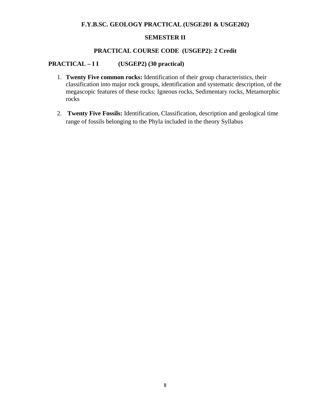## **F.Y.B.SC. GEOLOGY PRACTICAL (USGE201 & USGE202)**

#### **SEMESTER II**

#### **PRACTICAL COURSE CODE (USGEP2): 2 Credit**

### **PRACTICAL – I I (USGEP2) (30 practical)**

- 1. **Twenty Five common rocks:** Identification of their group characteristics, their classification into major rock groups, identification and systematic description, of the megascopic features of these rocks: Igneous rocks, Sedimentary rocks, Metamorphic rocks
- 2. **Twenty Five Fossils:** Identification, Classification, description and geological time range of fossils belonging to the Phyla included in the theory Syllabus